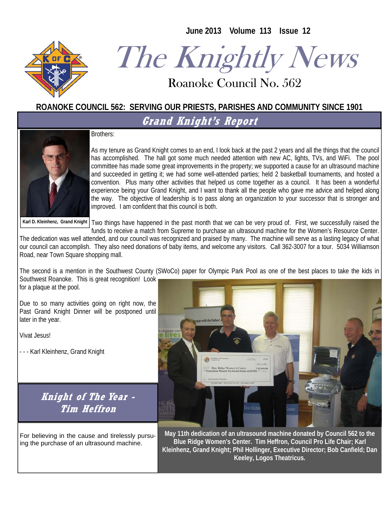**June 2013 Volume 113 Issue 12** 



# The Knightly News

Roanoke Council No. 562 Roanoke Council No. 562

#### **ROANOKE COUNCIL 562: SERVING OUR PRIESTS, PARISHES AND COMMUNITY SINCE 1901**

**Grand Knight's Report** 

Brothers:



As my tenure as Grand Knight comes to an end, I look back at the past 2 years and all the things that the council has accomplished. The hall got some much needed attention with new AC, lights, TVs, and WiFi. The pool committee has made some great improvements in the property; we supported a cause for an ultrasound machine and succeeded in getting it; we had some well-attended parties; held 2 basketball tournaments, and hosted a convention. Plus many other activities that helped us come together as a council. It has been a wonderful experience being your Grand Knight, and I want to thank all the people who gave me advice and helped along the way. The objective of leadership is to pass along an organization to your successor that is stronger and improved. I am confident that this council is both.

Karl D. Kleinhenz, Grand Knight | Two things have happened in the past month that we can be very proud of. First, we successfully raised the funds to receive a match from Supreme to purchase an ultrasound machine for the Women's Resource Center.

The dedication was well attended, and our council was recognized and praised by many. The machine will serve as a lasting legacy of what our council can accomplish. They also need donations of baby items, and welcome any visitors. Call 362-3007 for a tour. 5034 Williamson Road, near Town Square shopping mall.

The second is a mention in the Southwest County (SWoCo) paper for Olympic Park Pool as one of the best places to take the kids in Southwest Roanoke. This is great recognition! Look for a plaque at the pool.

Due to so many activities going on right now, the Past Grand Knight Dinner will be postponed until later in the year.

Vivat Jesus!

- - - Karl Kleinhenz, Grand Knight

**Knight of The Year - Tim Heffron** 

For believing in the cause and tirelessly pursuing the purchase of an ultrasound machine.



**May 11th dedication of an ultrasound machine donated by Council 562 to the Blue Ridge Women's Center. Tim Heffron, Council Pro Life Chair; Karl Kleinhenz, Grand Knight; Phil Hollinger, Executive Director; Bob Canfield; Dan Keeley, Logos Theatricus.**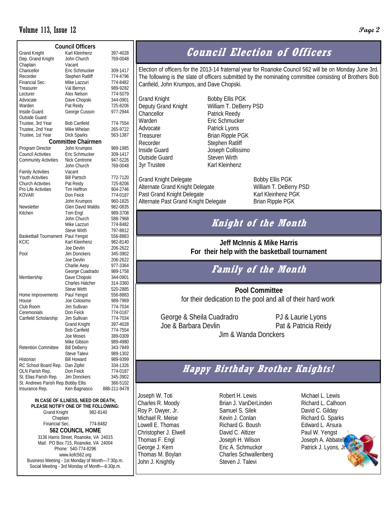#### Volume 113, Issue 12 **Page 2**

| <b>Council Officers</b>             |                     |              |  |  |  |  |  |  |
|-------------------------------------|---------------------|--------------|--|--|--|--|--|--|
| <b>Grand Knight</b>                 | Karl Kleinhenz      | 397-4028     |  |  |  |  |  |  |
| Dep. Grand Knight                   | John Church         | 769-0048     |  |  |  |  |  |  |
| Chaplain                            | Vacant              |              |  |  |  |  |  |  |
| Chancellor                          | Eric Schmucker      | 309-1417     |  |  |  |  |  |  |
| Recorder                            | Stephen Ratliff     | 774-4796     |  |  |  |  |  |  |
| Financial Sec.                      | Mike Lazzuri        | 774-8482     |  |  |  |  |  |  |
| Treasurer                           | Val Bernys          | 989-9282     |  |  |  |  |  |  |
| Lecturer                            | Alex Nelson         | 774-5079     |  |  |  |  |  |  |
| Advocate                            | Dave Chopski        | 344-0901     |  |  |  |  |  |  |
| Warden                              | Pat Reidy           | 725-8206     |  |  |  |  |  |  |
| Inside Guard                        | George Cusson       | 977-2944     |  |  |  |  |  |  |
| Outside Guard                       |                     |              |  |  |  |  |  |  |
| Trustee, 3rd Year                   | <b>Bob Canfield</b> | 774-7554     |  |  |  |  |  |  |
| Trustee, 2nd Year                   | Mike Whelan         | 265-9722     |  |  |  |  |  |  |
| Trustee, 1st Year                   | <b>Dick Sparks</b>  | 563-1387     |  |  |  |  |  |  |
| <b>Committee Chairmen</b>           |                     |              |  |  |  |  |  |  |
| Program Director                    | John Krumpos        | 989-1985     |  |  |  |  |  |  |
| <b>Council Activities</b>           | Eric Schmucker      | 309-1417     |  |  |  |  |  |  |
| <b>Community Activities</b>         | Nick Centrone       | 947-5226     |  |  |  |  |  |  |
|                                     | John Church         | 769-0048     |  |  |  |  |  |  |
| <b>Family Activities</b>            | Vacant              |              |  |  |  |  |  |  |
| Youth Activities                    | <b>Bill Partsch</b> | 772-7120     |  |  |  |  |  |  |
| <b>Church Activities</b>            | Pat Reidy           | 725-8206     |  |  |  |  |  |  |
| Pro Life Activities                 | Tim Heffron         | 904-2746     |  |  |  |  |  |  |
| <b>KOVAR</b>                        | Don Feick           | 774-0187     |  |  |  |  |  |  |
|                                     | John Krumpos        | 960-1825     |  |  |  |  |  |  |
| Newsletter                          | Glen David Waldis   | 982-0835     |  |  |  |  |  |  |
| Kitchen                             | Tom Engl            | 989-3708     |  |  |  |  |  |  |
|                                     | John Church         | 588-7968     |  |  |  |  |  |  |
|                                     | Mike Lazzuri        | 774-8482     |  |  |  |  |  |  |
|                                     | <b>Steve Wirth</b>  | 797-8812     |  |  |  |  |  |  |
| <b>Basketball Tournament</b>        | Paul Yengst         | 556-8883     |  |  |  |  |  |  |
| <b>KCIC</b>                         | Karl Kleinhenz      | 982-8140     |  |  |  |  |  |  |
|                                     | Joe Devlin          | 206-2622     |  |  |  |  |  |  |
| Pool                                | <b>Jim Donckers</b> | 345-3902     |  |  |  |  |  |  |
|                                     | Joe Devlin          | 206-2622     |  |  |  |  |  |  |
|                                     | Charlie Aesy        | 977-3364     |  |  |  |  |  |  |
|                                     | George Cuadrado     | 989-1758     |  |  |  |  |  |  |
| Membership                          | Dave Chopski        | 344-0901     |  |  |  |  |  |  |
|                                     | Charles Hatcher     | 314-3360     |  |  |  |  |  |  |
|                                     | <b>Steve Wirth</b>  | 520-2885     |  |  |  |  |  |  |
| Home Improvements                   | Paul Yengst         | 556-8883     |  |  |  |  |  |  |
| House                               | Joe Colosimo        | 989-7969     |  |  |  |  |  |  |
| Club Room                           | Jim Sullivan        | 774-7034     |  |  |  |  |  |  |
| Ceremonials                         | Don Feick           | 774-0187     |  |  |  |  |  |  |
| Canfield Scholarship                | Jim Sullivan        | 774-7034     |  |  |  |  |  |  |
|                                     | Grand Knight        | 397-4028     |  |  |  |  |  |  |
|                                     | <b>Bob Canfield</b> | 774-7554     |  |  |  |  |  |  |
|                                     | Joe Moses           | 389-0309     |  |  |  |  |  |  |
|                                     | Mike Gibson         | 989-4980     |  |  |  |  |  |  |
| <b>Retention Committee</b>          | <b>Bill DeBerry</b> | 343-7849     |  |  |  |  |  |  |
|                                     | <b>Steve Talevi</b> | 989-1302     |  |  |  |  |  |  |
| Historian                           | <b>Bill Howard</b>  | 989-9399     |  |  |  |  |  |  |
| RC School Board Rep.                | Dan Zipfel          | 334-1326     |  |  |  |  |  |  |
| OLN Parish Rep.                     | Don Feick           | 774-0187     |  |  |  |  |  |  |
| St. Elias Parish Rep.               | Jim Donckers        | 345-3902     |  |  |  |  |  |  |
| St. Andrews Parish Rep. Bobby Ellis |                     | 366-5102     |  |  |  |  |  |  |
| Insurance Rep.                      | Ken Bagnasco        | 888-211-9478 |  |  |  |  |  |  |

**IN CASE OF ILLNESS, NEED OR DEATH, PLEASE NOTIFY ONE OF THE FOLLOWING:**  Grand Knight 982-8140 Chaplain Financial Sec. 774-8482 **562 COUNCIL HOME**  3136 Harris Street, Roanoke, VA 24015 Mail: PO Box 715, Roanoke, VA 24004 Phone: 540-774-8296 www.kofc562.org Business Meeting - 1st Monday of Month—7:30p.m. Social Meeting - 3rd Monday of Month—6:30p.m.

# **Council Election of Officers**

Election of officers for the 2013-14 fraternal year for Roanoke Council 562 will be on Monday June 3rd. The following is the slate of officers submitted by the nominating committee consisting of Brothers Bob Canfield, John Krumpos, and Dave Chopski.

Grand Knight Bobby Ellis PGK Deputy Grand Knight William T. DeBerry PSD Chancellor **Patrick Reedy** Warden **Eric Schmucker** Advocate **Patrick Lyons** Treasurer Brian Ripple PGK Recorder Stephen Ratliff Inside Guard Joseph Collissimo Outside Guard Steven Wirth 3yr Trustee Karl Kleinhenz

Grand Knight Delegate Bobby Ellis PGK Alternate Grand Knight Delegate William T. DeBerry PSD Past Grand Knight Delegate Karl Kleinhenz PGK Alternate Past Grand Knight Delegate Brian Ripple PGK

#### **Knight of the Month**

**Jeff McInnis & Mike Harris For their help with the basketball tournament** 

#### **Family of the Month**

 **Pool Committee**  for their dedication to the pool and all of their hard work

George & Sheila Cuadradro PJ & Laurie Lyons Joe & Barbara Devlin Pat & Patricia Reidy

Jim & Wanda Donckers

#### **Happy Birthday Brother Knights!**

Joseph W. Toti Charles R. Moody Roy P. Dwyer, Jr. Michael R. Meise Lowell E. Thomas Christopher J. Elwell Thomas F. Engl George J. Kern Thomas M. Boylan John J. Knightly

Robert H. Lewis Brian J. VanDerLinden Samuel S. Silek Kevin J. Conlan Richard G. Boush David C. Altizer Joseph H. Wilson Eric A. Schmuckor Charles Schwallenberg Steven J. Talevi

Michael L. Lewis Richard L. Calhoon David C. Gilday Richard G. Sparks Edward L. Arsura Paul W. Yengst Joseph A. Abbatell Patrick J. Lyons, J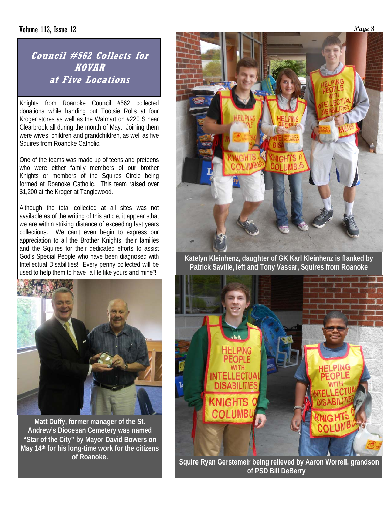#### Volume 113, Issue 12 *Page 3*

#### **Council #562 Collects for KOVAR at Five Locations**

Knights from Roanoke Council #562 collected donations while handing out Tootsie Rolls at four Kroger stores as well as the Walmart on #220 S near Clearbrook all during the month of May. Joining them were wives, children and grandchildren, as well as five Squires from Roanoke Catholic.

One of the teams was made up of teens and preteens who were either family members of our brother Knights or members of the Squires Circle being formed at Roanoke Catholic. This team raised over \$1,200 at the Kroger at Tanglewood.

Although the total collected at all sites was not available as of the writing of this article, it appear sthat we are within striking distance of exceeding last years collections. We can't even begin to express our appreciation to all the Brother Knights, their families and the Squires for their dedicated efforts to assist God's Special People who have been diagnosed with Intellectual Disabilities! Every penny collected will be used to help them to have "a life like yours and mine"!



**Matt Duffy, former manager of the St. Andrew's Diocesan Cemetery was named "Star of the City" by Mayor David Bowers on May 14th for his long-time work for the citizens of Roanoke.** 



**Katelyn Kleinhenz, daughter of GK Karl Kleinhenz is flanked by Patrick Saville, left and Tony Vassar, Squires from Roanoke** 



 **Squire Ryan Gerstemeir being relieved by Aaron Worrell, grandson of PSD Bill DeBerry**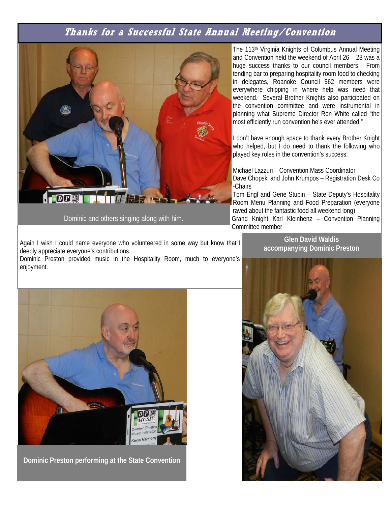#### **Thanks for a Successful State Annual Meeting/Convention**



Dominic and others singing along with him.

Again I wish I could name everyone who volunteered in some way but know that I deeply appreciate everyone's contributions.

Dominic Preston provided music in the Hospitality Room, much to everyone's enjoyment.

The 113<sup>th</sup> Virginia Knights of Columbus Annual Meeting and Convention held the weekend of April 26 – 28 was a huge success thanks to our council members. From tending bar to preparing hospitality room food to checking in delegates, Roanoke Council 562 members were everywhere chipping in where help was need that weekend. Several Brother Knights also participated on the convention committee and were instrumental in planning what Supreme Director Ron White called "the most efficiently run convention he's ever attended."

I don't have enough space to thank every Brother Knight who helped, but I do need to thank the following who played key roles in the convention's success:

Michael Lazzuri – Convention Mass Coordinator Dave Chopski and John Krumpos – Registration Desk Co -Chairs

Tom Engl and Gene Stupin – State Deputy's Hospitality Room Menu Planning and Food Preparation (everyone raved about the fantastic food all weekend long) Grand Knight Karl Kleinhenz – Convention Planning Committee member

> **Glen David Waldis accompanying Dominic Preston**



**Dominic Preston performing at the State Convention** 

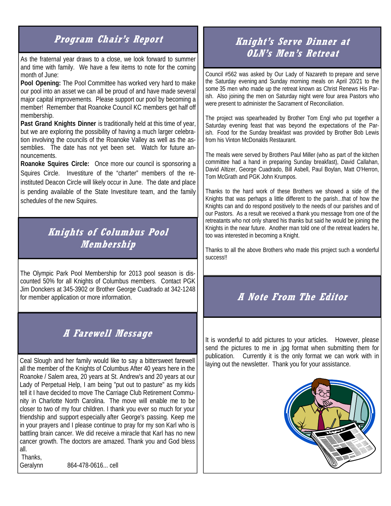### **Program Chair's Report**

As the fraternal year draws to a close, we look forward to summer and time with family. We have a few items to note for the coming month of June:

**Pool Opening:** The Pool Committee has worked very hard to make our pool into an asset we can all be proud of and have made several major capital improvements. Please support our pool by becoming a member! Remember that Roanoke Council KC members get half off membership.

**Past Grand Knights Dinner** is traditionally held at this time of year, but we are exploring the possibility of having a much larger celebration involving the councils of the Roanoke Valley as well as the assemblies. The date has not yet been set. Watch for future announcements.

**Roanoke Squires Circle:** Once more our council is sponsoring a Squires Circle. Investiture of the "charter" members of the reinstituted Deacon Circle will likely occur in June. The date and place is pending available of the State Investiture team, and the family schedules of the new Squires.

### **Knights of Columbus Pool Membership**

The Olympic Park Pool Membership for 2013 pool season is discounted 50% for all Knights of Columbus members. Contact PGK Jim Donckers at 345-3902 or Brother George Cuadrado at 342-1248 for member application or more information.

#### **A Farewell Message**

Ceal Slough and her family would like to say a bittersweet farewell all the member of the Knights of Columbus After 40 years here in the Roanoke / Salem area, 20 years at St. Andrew's and 20 years at our Lady of Perpetual Help, I am being "put out to pasture" as my kids tell it I have decided to move The Carriage Club Retirement Community in Charlotte North Carolina. The move will enable me to be closer to two of my four children. I thank you ever so much for your friendship and support especially after George's passing. Keep me in your prayers and I please continue to pray for my son Karl who is battling brain cancer. We did receive a miracle that Karl has no new cancer growth. The doctors are amazed. Thank you and God bless all.

Thanks,

Geralynn 864-478-0616... cell

#### **Knight's Serve Dinner at OLN's Men's Retreat**

Council #562 was asked by Our Lady of Nazareth to prepare and serve the Saturday evening and Sunday morning meals on April 20/21 to the some 35 men who made up the retreat known as Christ Renews His Parish. Also joining the men on Saturday night were four area Pastors who were present to administer the Sacrament of Reconciliation.

The project was spearheaded by Brother Tom Engl who put together a Saturday evening feast that was beyond the expectations of the Parish. Food for the Sunday breakfast was provided by Brother Bob Lewis from his Vinton McDonalds Restaurant.

The meals were served by Brothers Paul Miller (who as part of the kitchen committee had a hand in preparing Sunday breakfast), David Callahan, David Altizer, George Cuadrado, Bill Asbell, Paul Boylan, Matt O'Herron, Tom McGrath and PGK John Krumpos.

Thanks to the hard work of these Brothers we showed a side of the Knights that was perhaps a little different to the parish...that of how the Knights can and do respond positively to the needs of our parishes and of our Pastors. As a result we received a thank you message from one of the retreatants who not only shared his thanks but said he would be joining the Knights in the near future. Another man told one of the retreat leaders he, too was interested in becoming a Knight.

Thanks to all the above Brothers who made this project such a wonderful success!!

## **A Note From The Editor**

It is wonderful to add pictures to your articles. However, please send the pictures to me in .jpg format when submitting them for publication. Currently it is the only format we can work with in laying out the newsletter. Thank you for your assistance.